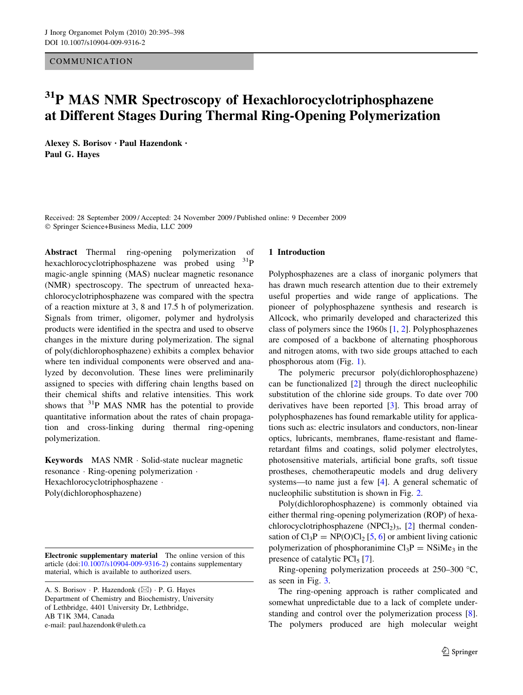COMMUNICATION

# <sup>31</sup>P MAS NMR Spectroscopy of Hexachlorocyclotriphosphazene at Different Stages During Thermal Ring-Opening Polymerization

Alexey S. Borisov • Paul Hazendonk • Paul G. Hayes

Received: 28 September 2009 / Accepted: 24 November 2009 / Published online: 9 December 2009 - Springer Science+Business Media, LLC 2009

Abstract Thermal ring-opening polymerization of hexachlorocyclotriphosphazene was probed using <sup>31</sup>P magic-angle spinning (MAS) nuclear magnetic resonance (NMR) spectroscopy. The spectrum of unreacted hexachlorocyclotriphosphazene was compared with the spectra of a reaction mixture at 3, 8 and 17.5 h of polymerization. Signals from trimer, oligomer, polymer and hydrolysis products were identified in the spectra and used to observe changes in the mixture during polymerization. The signal of poly(dichlorophosphazene) exhibits a complex behavior where ten individual components were observed and analyzed by deconvolution. These lines were preliminarily assigned to species with differing chain lengths based on their chemical shifts and relative intensities. This work shows that  $31P$  MAS NMR has the potential to provide quantitative information about the rates of chain propagation and cross-linking during thermal ring-opening polymerization.

Keywords MAS NMR - Solid-state nuclear magnetic resonance - Ring-opening polymerization - Hexachlorocyclotriphosphazene · Poly(dichlorophosphazene)

#### 1 Introduction

Polyphosphazenes are a class of inorganic polymers that has drawn much research attention due to their extremely useful properties and wide range of applications. The pioneer of polyphosphazene synthesis and research is Allcock, who primarily developed and characterized this class of polymers since the 1960s [[1,](#page-3-0) [2\]](#page-3-0). Polyphosphazenes are composed of a backbone of alternating phosphorous and nitrogen atoms, with two side groups attached to each phosphorous atom (Fig. [1](#page-1-0)).

The polymeric precursor poly(dichlorophosphazene) can be functionalized [\[2](#page-3-0)] through the direct nucleophilic substitution of the chlorine side groups. To date over 700 derivatives have been reported [\[3](#page-3-0)]. This broad array of polyphosphazenes has found remarkable utility for applications such as: electric insulators and conductors, non-linear optics, lubricants, membranes, flame-resistant and flameretardant films and coatings, solid polymer electrolytes, photosensitive materials, artificial bone grafts, soft tissue prostheses, chemotherapeutic models and drug delivery systems—to name just a few [\[4](#page-3-0)]. A general schematic of nucleophilic substitution is shown in Fig. [2](#page-1-0).

Poly(dichlorophosphazene) is commonly obtained via either thermal ring-opening polymerization (ROP) of hexa-chlorocyclotriphosphazene (NPCl<sub>2</sub>)<sub>3</sub>, [[2\]](#page-3-0) thermal condensation of  $Cl_3P = NP(O)Cl_2 [5, 6]$  $Cl_3P = NP(O)Cl_2 [5, 6]$  $Cl_3P = NP(O)Cl_2 [5, 6]$  $Cl_3P = NP(O)Cl_2 [5, 6]$  $Cl_3P = NP(O)Cl_2 [5, 6]$  or ambient living cationic polymerization of phosphoranimine  $Cl_3P = NSiMe_3$  in the presence of catalytic PCl<sub>5</sub> [[7\]](#page-3-0).

Ring-opening polymerization proceeds at  $250-300$  °C, as seen in Fig. [3](#page-1-0).

The ring-opening approach is rather complicated and somewhat unpredictable due to a lack of complete understanding and control over the polymerization process [\[8](#page-3-0)]. The polymers produced are high molecular weight

Electronic supplementary material The online version of this article (doi:[10.1007/s10904-009-9316-2\)](http://dx.doi.org/10.1007/s10904-009-9316-2) contains supplementary material, which is available to authorized users.

A. S. Borisov · P. Hazendonk (⊠) · P. G. Hayes Department of Chemistry and Biochemistry, University of Lethbridge, 4401 University Dr, Lethbridge, AB T1K 3M4, Canada e-mail: paul.hazendonk@uleth.ca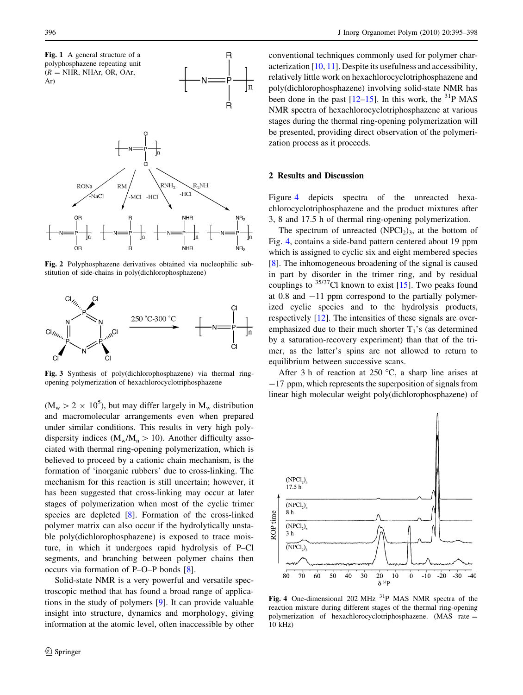<span id="page-1-0"></span>

Fig. 2 Polyphosphazene derivatives obtained via nucleophilic substitution of side-chains in poly(dichlorophosphazene)



Fig. 3 Synthesis of poly(dichlorophosphazene) via thermal ringopening polymerization of hexachlorocyclotriphosphazene

 $(M_w > 2 \times 10^5)$ , but may differ largely in  $M_w$  distribution and macromolecular arrangements even when prepared under similar conditions. This results in very high polydispersity indices ( $M_w/M_n > 10$ ). Another difficulty associated with thermal ring-opening polymerization, which is believed to proceed by a cationic chain mechanism, is the formation of 'inorganic rubbers' due to cross-linking. The mechanism for this reaction is still uncertain; however, it has been suggested that cross-linking may occur at later stages of polymerization when most of the cyclic trimer species are depleted [[8\]](#page-3-0). Formation of the cross-linked polymer matrix can also occur if the hydrolytically unstable poly(dichlorophosphazene) is exposed to trace moisture, in which it undergoes rapid hydrolysis of P–Cl segments, and branching between polymer chains then occurs via formation of P–O–P bonds [\[8](#page-3-0)].

Solid-state NMR is a very powerful and versatile spectroscopic method that has found a broad range of applications in the study of polymers [[9\]](#page-3-0). It can provide valuable insight into structure, dynamics and morphology, giving information at the atomic level, often inaccessible by other conventional techniques commonly used for polymer characterization [[10,](#page-3-0) [11](#page-3-0)]. Despite its usefulness and accessibility, relatively little work on hexachlorocyclotriphosphazene and poly(dichlorophosphazene) involving solid-state NMR has been done in the past  $[12–15]$  $[12–15]$ . In this work, the <sup>31</sup>P MAS NMR spectra of hexachlorocyclotriphosphazene at various stages during the thermal ring-opening polymerization will be presented, providing direct observation of the polymerization process as it proceeds.

#### 2 Results and Discussion

Figure 4 depicts spectra of the unreacted hexachlorocyclotriphosphazene and the product mixtures after 3, 8 and 17.5 h of thermal ring-opening polymerization.

The spectrum of unreacted  $(NPCl<sub>2</sub>)<sub>3</sub>$ , at the bottom of Fig. 4, contains a side-band pattern centered about 19 ppm which is assigned to cyclic six and eight membered species [\[8](#page-3-0)]. The inhomogeneous broadening of the signal is caused in part by disorder in the trimer ring, and by residual couplings to  $35/37$ Cl known to exist [[15\]](#page-3-0). Two peaks found at  $0.8$  and  $-11$  ppm correspond to the partially polymerized cyclic species and to the hydrolysis products, respectively [[12\]](#page-3-0). The intensities of these signals are overemphasized due to their much shorter  $T_1$ 's (as determined by a saturation-recovery experiment) than that of the trimer, as the latter's spins are not allowed to return to equilibrium between successive scans.

After 3 h of reaction at  $250^{\circ}$ C, a sharp line arises at -17 ppm, which represents the superposition of signals from linear high molecular weight poly(dichlorophosphazene) of



Fig. 4 One-dimensional 202 MHz <sup>31</sup>P MAS NMR spectra of the reaction mixture during different stages of the thermal ring-opening polymerization of hexachlorocyclotriphosphazene. (MAS rate = 10 kHz)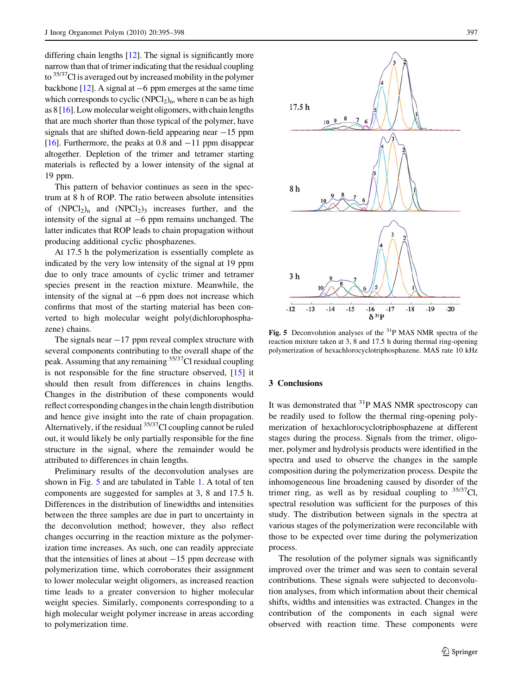differing chain lengths [\[12\]](#page-3-0). The signal is significantly more narrow than that of trimer indicating that the residual coupling to <sup>35/37</sup>Cl is averaged out by increased mobility in the polymer backbone  $[12]$ . A signal at  $-6$  ppm emerges at the same time which corresponds to cyclic  $(NPCl<sub>2</sub>)<sub>n</sub>$ , where n can be as high as 8 [\[16](#page-3-0)]. Low molecular weight oligomers, with chain lengths that are much shorter than those typical of the polymer, have signals that are shifted down-field appearing near  $-15$  ppm [\[16](#page-3-0)]. Furthermore, the peaks at 0.8 and  $-11$  ppm disappear altogether. Depletion of the trimer and tetramer starting materials is reflected by a lower intensity of the signal at 19 ppm.

This pattern of behavior continues as seen in the spectrum at 8 h of ROP. The ratio between absolute intensities of  $(NPCl_2)_n$  and  $(NPCl_2)_3$  increases further, and the intensity of the signal at  $-6$  ppm remains unchanged. The latter indicates that ROP leads to chain propagation without producing additional cyclic phosphazenes.

At 17.5 h the polymerization is essentially complete as indicated by the very low intensity of the signal at 19 ppm due to only trace amounts of cyclic trimer and tetramer species present in the reaction mixture. Meanwhile, the intensity of the signal at  $-6$  ppm does not increase which confirms that most of the starting material has been converted to high molecular weight poly(dichlorophosphazene) chains.

The signals near  $-17$  ppm reveal complex structure with several components contributing to the overall shape of the peak. Assuming that any remaining <sup>35/37</sup>Cl residual coupling is not responsible for the fine structure observed, [[15\]](#page-3-0) it should then result from differences in chains lengths. Changes in the distribution of these components would reflect corresponding changes in the chain length distribution and hence give insight into the rate of chain propagation. Alternatively, if the residual  $35/37$ Cl coupling cannot be ruled out, it would likely be only partially responsible for the fine structure in the signal, where the remainder would be attributed to differences in chain lengths.

Preliminary results of the deconvolution analyses are shown in Fig. 5 and are tabulated in Table [1](#page-3-0). A total of ten components are suggested for samples at 3, 8 and 17.5 h. Differences in the distribution of linewidths and intensities between the three samples are due in part to uncertainty in the deconvolution method; however, they also reflect changes occurring in the reaction mixture as the polymerization time increases. As such, one can readily appreciate that the intensities of lines at about  $-15$  ppm decrease with polymerization time, which corroborates their assignment to lower molecular weight oligomers, as increased reaction time leads to a greater conversion to higher molecular weight species. Similarly, components corresponding to a high molecular weight polymer increase in areas according to polymerization time.



**Fig. 5** Deconvolution analyses of the  ${}^{31}P$  MAS NMR spectra of the reaction mixture taken at 3, 8 and 17.5 h during thermal ring-opening polymerization of hexachlorocyclotriphosphazene. MAS rate 10 kHz

## 3 Conclusions

It was demonstrated that  ${}^{31}P$  MAS NMR spectroscopy can be readily used to follow the thermal ring-opening polymerization of hexachlorocyclotriphosphazene at different stages during the process. Signals from the trimer, oligomer, polymer and hydrolysis products were identified in the spectra and used to observe the changes in the sample composition during the polymerization process. Despite the inhomogeneous line broadening caused by disorder of the trimer ring, as well as by residual coupling to  $35/37$ Cl, spectral resolution was sufficient for the purposes of this study. The distribution between signals in the spectra at various stages of the polymerization were reconcilable with those to be expected over time during the polymerization process.

The resolution of the polymer signals was significantly improved over the trimer and was seen to contain several contributions. These signals were subjected to deconvolution analyses, from which information about their chemical shifts, widths and intensities was extracted. Changes in the contribution of the components in each signal were observed with reaction time. These components were